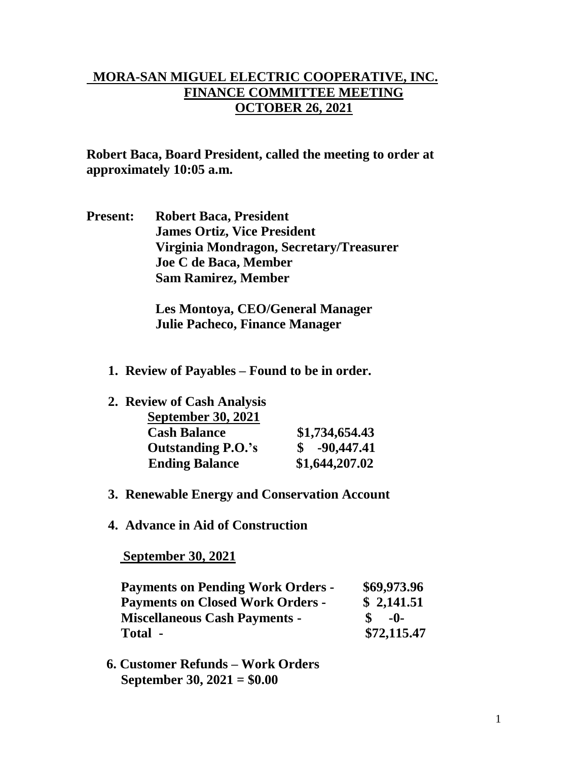## **MORA-SAN MIGUEL ELECTRIC COOPERATIVE, INC. FINANCE COMMITTEE MEETING OCTOBER 26, 2021**

**Robert Baca, Board President, called the meeting to order at approximately 10:05 a.m.**

**Present: Robert Baca, President James Ortiz, Vice President Virginia Mondragon, Secretary/Treasurer Joe C de Baca, Member Sam Ramirez, Member**

> **Les Montoya, CEO/General Manager Julie Pacheco, Finance Manager**

- **1. Review of Payables – Found to be in order.**
- **2. Review of Cash Analysis**

| <b>September 30, 2021</b> |                |
|---------------------------|----------------|
| <b>Cash Balance</b>       | \$1,734,654.43 |
| <b>Outstanding P.O.'s</b> | $$ -90,447.41$ |
| <b>Ending Balance</b>     | \$1,644,207.02 |

- **3. Renewable Energy and Conservation Account**
- **4. Advance in Aid of Construction**

 **September 30, 2021**

| <b>Payments on Pending Work Orders -</b> | \$69,973.96 |
|------------------------------------------|-------------|
| <b>Payments on Closed Work Orders -</b>  | \$2,141.51  |
| <b>Miscellaneous Cash Payments -</b>     | -0-         |
| Total -                                  | \$72,115.47 |

 **6. Customer Refunds – Work Orders September 30, 2021 = \$0.00**